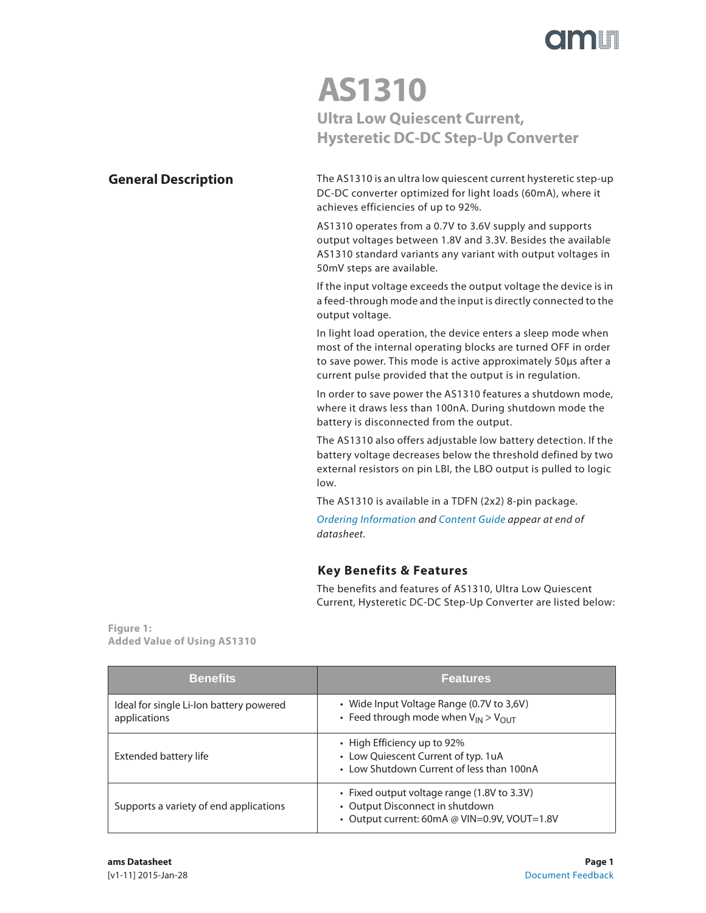

## **AS1310 Ultra Low Quiescent Current, Hysteretic DC-DC Step-Up Converter**

### **General Description**

The AS1310 is an ultra low quiescent current hysteretic step-up DC-DC converter optimized for light loads (60mA), where it achieves efficiencies of up to 92%.

AS1310 operates from a 0.7V to 3.6V supply and supports output voltages between 1.8V and 3.3V. Besides the available AS1310 standard variants any variant with output voltages in 50mV steps are available.

If the input voltage exceeds the output voltage the device is in a feed-through mode and the input is directly connected to the output voltage.

In light load operation, the device enters a sleep mode when most of the internal operating blocks are turned OFF in order to save power. This mode is active approximately 50μs after a current pulse provided that the output is in regulation.

In order to save power the AS1310 features a shutdown mode, where it draws less than 100nA. During shutdown mode the battery is disconnected from the output.

The AS1310 also offers adjustable low battery detection. If the battery voltage decreases below the threshold defined by two external resistors on pin LBI, the LBO output is pulled to logic low.

The AS1310 is available in a TDFN (2x2) 8-pin package.

Ordering Information and Content Guide appear at end of datasheet.

### **Key Benefits & Features**

The benefits and features of AS1310, Ultra Low Quiescent Current, Hysteretic DC-DC Step-Up Converter are listed below:

**Figure 1: Added Value of Using AS1310** 

| <b>Benefits</b>                                         | <b>Features</b>                                                                                                                |
|---------------------------------------------------------|--------------------------------------------------------------------------------------------------------------------------------|
| Ideal for single Li-Ion battery powered<br>applications | • Wide Input Voltage Range (0.7V to 3,6V)<br>• Feed through mode when $V_{IN} > V_{OIII}$                                      |
| Extended battery life                                   | • High Efficiency up to 92%<br>• Low Quiescent Current of typ. 1uA<br>• Low Shutdown Current of less than 100nA                |
| Supports a variety of end applications                  | • Fixed output voltage range (1.8V to 3.3V)<br>• Output Disconnect in shutdown<br>• Output current: 60mA @ VIN=0.9V, VOUT=1.8V |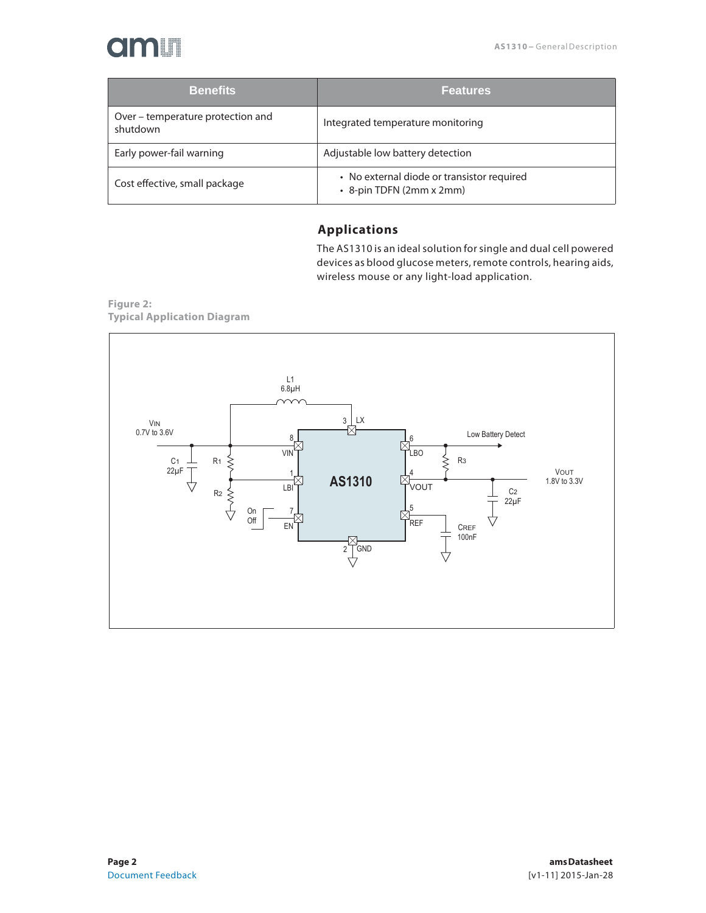# **Omili**

| <b>Benefits</b>                               | <b>Features</b>                                                        |
|-----------------------------------------------|------------------------------------------------------------------------|
| Over – temperature protection and<br>shutdown | Integrated temperature monitoring                                      |
| Early power-fail warning                      | Adjustable low battery detection                                       |
| Cost effective, small package                 | • No external diode or transistor required<br>• 8-pin TDFN (2mm x 2mm) |

### **Applications**

The AS1310 is an ideal solution for single and dual cell powered devices as blood glucose meters, remote controls, hearing aids, wireless mouse or any light-load application.

**Figure 2: Typical Application Diagram**

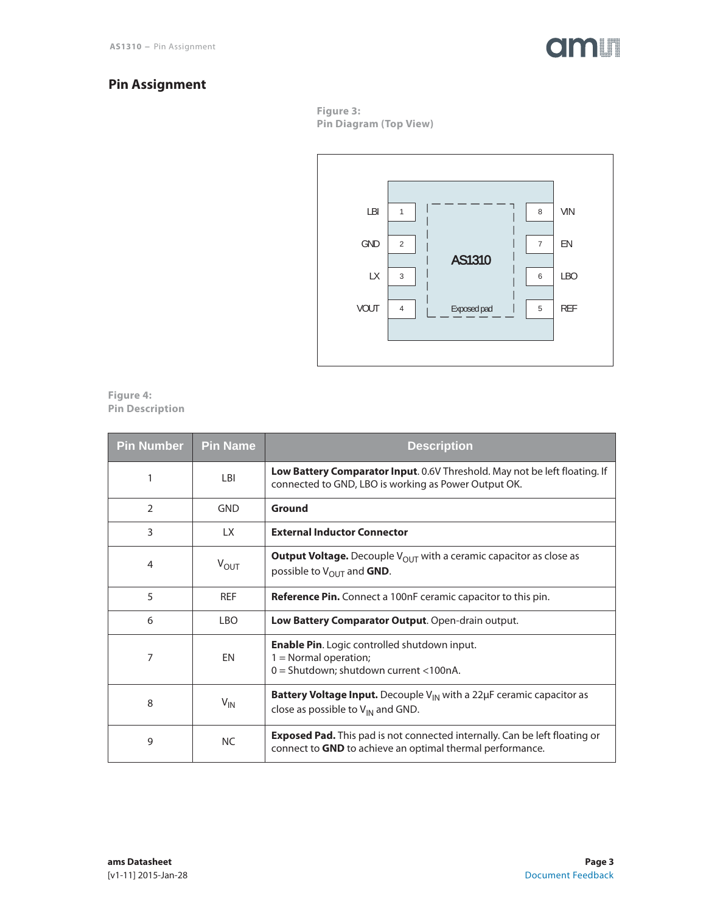

### **Pin Assignment**

**Figure 3: Pin Diagram (Top View)**



#### **Figure 4: Pin Description**

| <b>Pin Number</b> | <b>Pin Name</b>  | <b>Description</b>                                                                                                                                    |
|-------------------|------------------|-------------------------------------------------------------------------------------------------------------------------------------------------------|
| 1                 | LBI              | <b>Low Battery Comparator Input.</b> 0.6V Threshold. May not be left floating. If<br>connected to GND, LBO is working as Power Output OK.             |
| 2                 | GND              | Ground                                                                                                                                                |
| 3                 | LX.              | <b>External Inductor Connector</b>                                                                                                                    |
| 4                 | $V_{\text{OUT}}$ | <b>Output Voltage.</b> Decouple $V_{OUT}$ with a ceramic capacitor as close as<br>possible to $V_{\text{OUT}}$ and GND.                               |
| 5                 | <b>REF</b>       | <b>Reference Pin.</b> Connect a 100nF ceramic capacitor to this pin.                                                                                  |
| 6                 | <b>LBO</b>       | Low Battery Comparator Output. Open-drain output.                                                                                                     |
| 7                 | EN               | <b>Enable Pin.</b> Logic controlled shutdown input.<br>$1 =$ Normal operation;<br>0 = Shutdown; shutdown current <100nA.                              |
| 8                 | $V_{\text{IN}}$  | <b>Battery Voltage Input.</b> Decouple $V_{IN}$ with a 22 $\mu$ F ceramic capacitor as<br>close as possible to $V_{IN}$ and GND.                      |
| 9                 | <b>NC</b>        | <b>Exposed Pad.</b> This pad is not connected internally. Can be left floating or<br>connect to <b>GND</b> to achieve an optimal thermal performance. |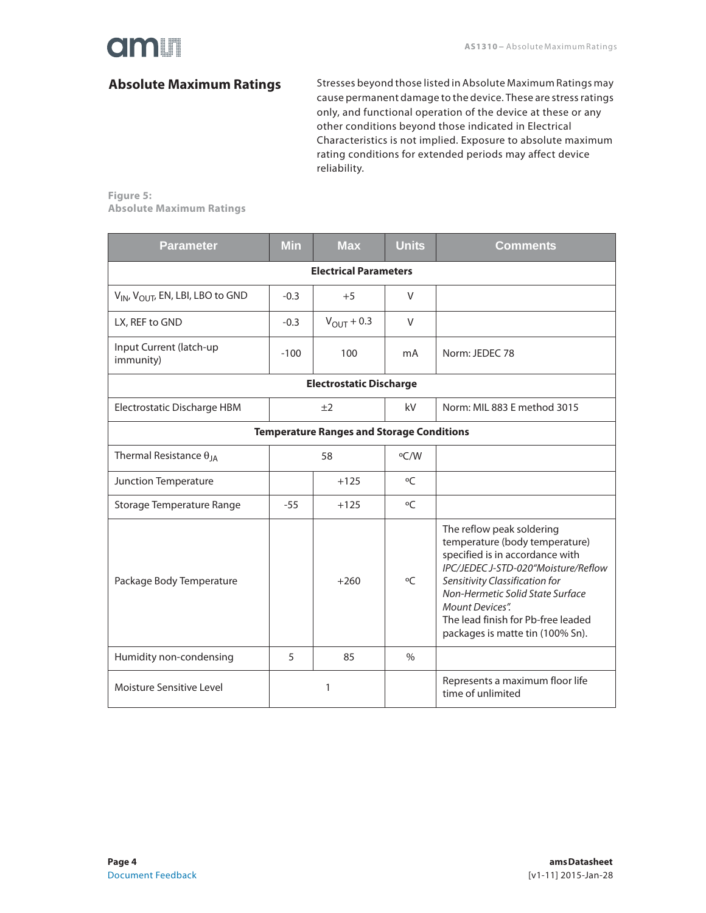### **Absolute Maximum Ratings**

Stresses beyond those listed in Absolute Maximum Ratings may cause permanent damage to the device. These are stress ratings only, and functional operation of the device at these or any other conditions beyond those indicated in Electrical Characteristics is not implied. Exposure to absolute maximum rating conditions for extended periods may affect device reliability.

**Figure 5: Absolute Maximum Ratings**

| <b>Parameter</b>                                         | <b>Min</b> | <b>Max</b>                   | <b>Units</b>  | <b>Comments</b>                                                                                                                                                                                                                                                                                                 |  |  |  |
|----------------------------------------------------------|------------|------------------------------|---------------|-----------------------------------------------------------------------------------------------------------------------------------------------------------------------------------------------------------------------------------------------------------------------------------------------------------------|--|--|--|
|                                                          |            | <b>Electrical Parameters</b> |               |                                                                                                                                                                                                                                                                                                                 |  |  |  |
| V <sub>IN</sub> , V <sub>OUT</sub> , EN, LBI, LBO to GND | $-0.3$     | $+5$                         | V             |                                                                                                                                                                                                                                                                                                                 |  |  |  |
| LX, REF to GND                                           | $-0.3$     | $V_{\text{OUT}} + 0.3$       | $\vee$        |                                                                                                                                                                                                                                                                                                                 |  |  |  |
| Input Current (latch-up<br>immunity)                     | $-100$     | 100                          | mA            | Norm: JEDEC 78                                                                                                                                                                                                                                                                                                  |  |  |  |
| <b>Electrostatic Discharge</b>                           |            |                              |               |                                                                                                                                                                                                                                                                                                                 |  |  |  |
| Electrostatic Discharge HBM                              |            | ±2                           | kV            | Norm: MIL 883 E method 3015                                                                                                                                                                                                                                                                                     |  |  |  |
| <b>Temperature Ranges and Storage Conditions</b>         |            |                              |               |                                                                                                                                                                                                                                                                                                                 |  |  |  |
| Thermal Resistance $\theta_{JA}$                         | 58         |                              | °C/W          |                                                                                                                                                                                                                                                                                                                 |  |  |  |
| Junction Temperature                                     |            | $+125$                       | $\circ$       |                                                                                                                                                                                                                                                                                                                 |  |  |  |
| Storage Temperature Range                                | $-55$      | $+125$                       | $\circ$ C     |                                                                                                                                                                                                                                                                                                                 |  |  |  |
| Package Body Temperature                                 | $+260$     |                              | $\circ$ C     | The reflow peak soldering<br>temperature (body temperature)<br>specified is in accordance with<br>IPC/JEDEC J-STD-020"Moisture/Reflow<br>Sensitivity Classification for<br>Non-Hermetic Solid State Surface<br><b>Mount Devices".</b><br>The lead finish for Pb-free leaded<br>packages is matte tin (100% Sn). |  |  |  |
| Humidity non-condensing                                  | 5          | 85                           | $\frac{0}{0}$ |                                                                                                                                                                                                                                                                                                                 |  |  |  |
| Moisture Sensitive Level                                 |            | 1                            |               | Represents a maximum floor life<br>time of unlimited                                                                                                                                                                                                                                                            |  |  |  |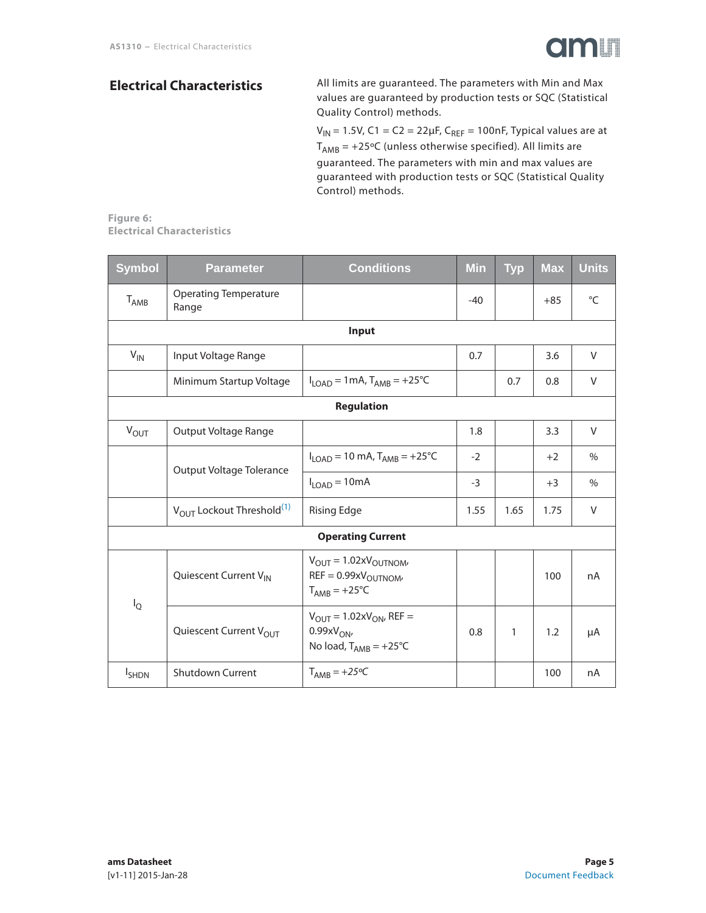

### **Electrical Characteristics**

All limits are guaranteed. The parameters with Min and Max values are guaranteed by production tests or SQC (Statistical Quality Control) methods.

V<sub>IN</sub> = 1.5V, C1 = C2 = 22µF, C<sub>REF</sub> = 100nF, Typical values are at  $T_{AMB}$  = +25°C (unless otherwise specified). All limits are guaranteed. The parameters with min and max values are guaranteed with production tests or SQC (Statistical Quality Control) methods.

**Figure 6: Electrical Characteristics**

| <b>Symbol</b>    | <b>Parameter</b>                                  | Conditions                                                                                          | <b>Min</b> | <b>Typ</b>   | <b>Max</b> | <b>Units</b>  |
|------------------|---------------------------------------------------|-----------------------------------------------------------------------------------------------------|------------|--------------|------------|---------------|
| <b>TAMB</b>      | <b>Operating Temperature</b><br>Range             |                                                                                                     | $-40$      |              | $+85$      | $^{\circ}C$   |
|                  |                                                   | Input                                                                                               |            |              |            |               |
| $V_{IN}$         | Input Voltage Range                               |                                                                                                     | 0.7        |              | 3.6        | V             |
|                  | Minimum Startup Voltage                           | $I_{LOAD} = 1 \text{mA}$ , $T_{AMB} = +25 \text{°C}$                                                |            | 0.7          | 0.8        | V             |
|                  |                                                   | <b>Regulation</b>                                                                                   |            |              |            |               |
| $V_{OUT}$        | Output Voltage Range                              |                                                                                                     | 1.8        |              | 3.3        | V             |
|                  | Output Voltage Tolerance                          | $I_{\text{LOAD}} = 10 \text{ mA}$ , $T_{\text{AMB}} = +25^{\circ}C$                                 | $-2$       |              | $+2$       | $\frac{0}{0}$ |
|                  |                                                   | $I_{LOAD} = 10mA$                                                                                   | $-3$       |              | $+3$       | $\%$          |
|                  | V <sub>OUT</sub> Lockout Threshold <sup>(1)</sup> | <b>Rising Edge</b>                                                                                  | 1.55       | 1.65         | 1.75       | V             |
|                  |                                                   | <b>Operating Current</b>                                                                            |            |              |            |               |
| $I_{\mathbb{Q}}$ | Quiescent Current VIN                             | $V_{\text{OUT}} = 1.02xV_{\text{OUTNOM}}$<br>$REF = 0.99xVOUTNOM$<br>$T_{AMB} = +25^{\circ}C$       |            |              | 100        | nA            |
|                  | Quiescent Current V <sub>OUT</sub>                | $V_{\text{OUT}} = 1.02xV_{\text{ON}}$ , REF =<br>$0.99xV_{ON}$<br>No load, $T_{AMB} = +25^{\circ}C$ | 0.8        | $\mathbf{1}$ | 1.2        | μA            |
| <b>I</b> SHDN    | <b>Shutdown Current</b>                           | $T_{AMB} = +25\degree C$                                                                            |            |              | 100        | nA            |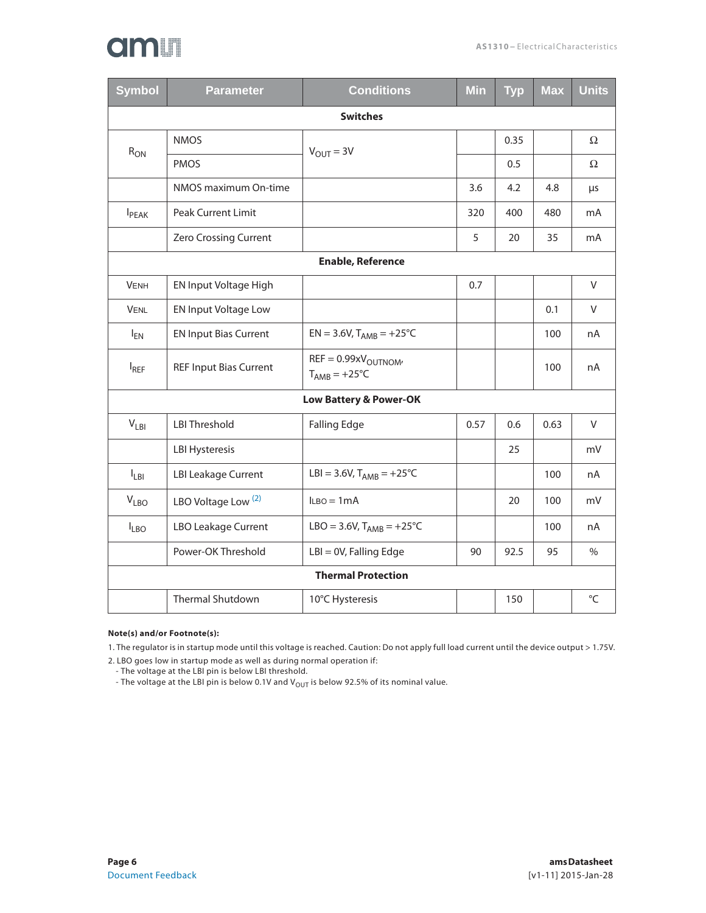# am

| <b>Symbol</b>            | <b>Parameter</b>               | <b>Conditions</b>                                | <b>Min</b> | <b>Typ</b> | <b>Max</b> | <b>Units</b> |
|--------------------------|--------------------------------|--------------------------------------------------|------------|------------|------------|--------------|
|                          |                                | <b>Switches</b>                                  |            |            |            |              |
| $R_{ON}$                 | <b>NMOS</b>                    | $V_{OUIT} = 3V$                                  |            | 0.35       |            | Ω            |
|                          | <b>PMOS</b>                    |                                                  |            | 0.5        |            | Ω            |
|                          | NMOS maximum On-time           |                                                  | 3.6        | 4.2        | 4.8        | μs           |
| <b>I</b> <sub>PEAK</sub> | <b>Peak Current Limit</b>      |                                                  | 320        | 400        | 480        | mA           |
|                          | Zero Crossing Current          |                                                  | 5          | 20         | 35         | mA           |
| <b>Enable, Reference</b> |                                |                                                  |            |            |            |              |
| <b>VENH</b>              | EN Input Voltage High          |                                                  | 0.7        |            |            | V            |
| <b>VENL</b>              | EN Input Voltage Low           |                                                  |            |            | 0.1        | V            |
| $I_{EN}$                 | <b>EN Input Bias Current</b>   | $EN = 3.6V$ , $T_{AMB} = +25^{\circ}C$           |            |            | 100        | nA           |
| $I_{REF}$                | <b>REF Input Bias Current</b>  | $REF = 0.99xVOUTNOM$<br>$T_{AMB} = +25^{\circ}C$ |            |            | 100        | nA           |
|                          |                                | <b>Low Battery &amp; Power-OK</b>                |            |            |            |              |
| $V_{LBI}$                | <b>LBI Threshold</b>           | <b>Falling Edge</b>                              | 0.57       | 0.6        | 0.63       | V            |
|                          | <b>LBI Hysteresis</b>          |                                                  |            | 25         |            | mV           |
| $I_{LBI}$                | <b>LBI Leakage Current</b>     | LBI = 3.6V, $T_{AMB}$ = +25°C                    |            |            | 100        | nA           |
| $V_{LBO}$                | LBO Voltage Low <sup>(2)</sup> | $l_{LBO} = 1mA$                                  |            | 20         | 100        | mV           |
| $I_{LBO}$                | <b>LBO Leakage Current</b>     | LBO = 3.6V, $T_{AMB}$ = +25°C                    |            |            | 100        | nA           |
|                          | Power-OK Threshold             | $LBI = OV$ , Falling Edge                        | 90         | 92.5       | 95         | $\%$         |
|                          |                                | <b>Thermal Protection</b>                        |            |            |            |              |
|                          | <b>Thermal Shutdown</b>        | 10°C Hysteresis                                  |            | 150        |            | °C           |

#### **Note(s) and/or Footnote(s):**

1. The regulator is in startup mode until this voltage is reached. Caution: Do not apply full load current until the device output > 1.75V.

2. LBO goes low in startup mode as well as during normal operation if:

- The voltage at the LBI pin is below LBI threshold.

- The voltage at the LBI pin is below 0.1V and V $_{\rm{OUT}}$  is below 92.5% of its nominal value.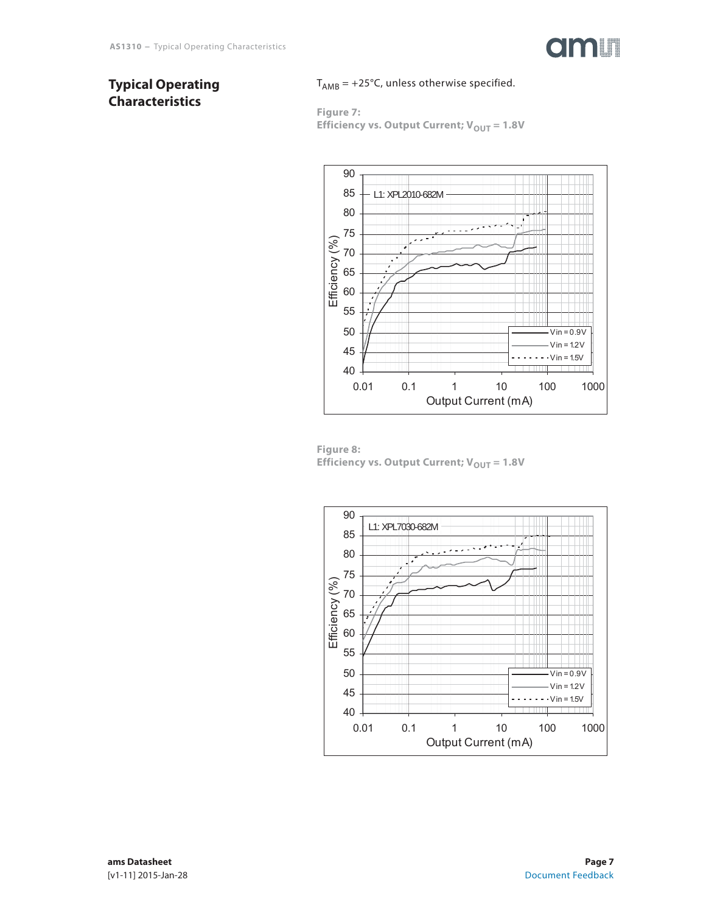

### **Typical Operating Characteristics**

### $T_{AMB}$  = +25°C, unless otherwise specified.

**Figure 7: Efficiency vs. Output Current;**  $V_{OUT} = 1.8V$ 



**Figure 8: Efficiency vs. Output Current;**  $V_{OUT} = 1.8V$ 

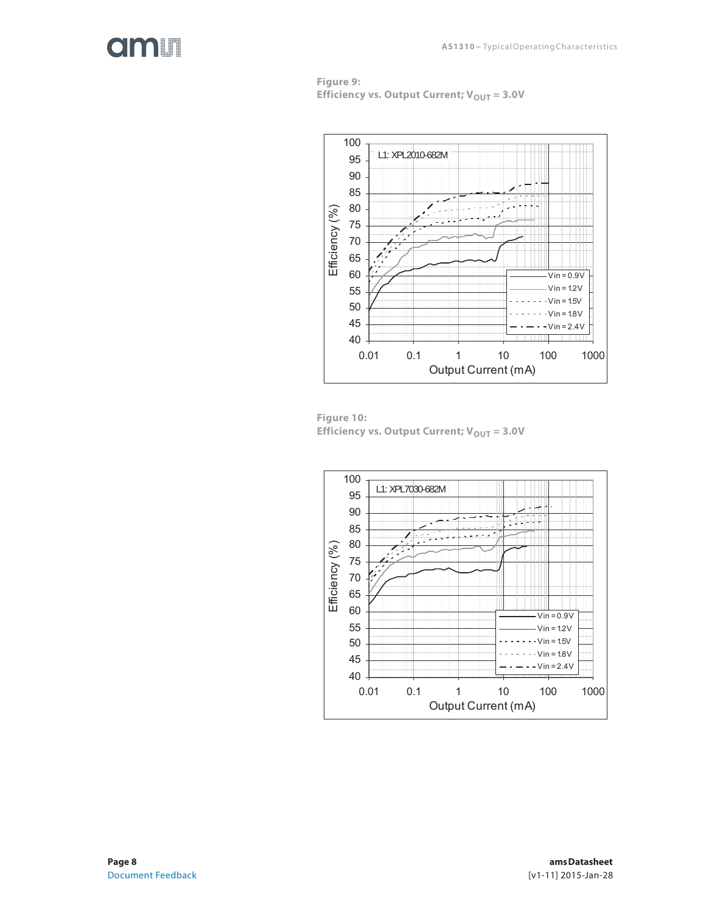## dm **I**

**Figure 9: Efficiency vs. Output Current;**  $V_{OUT} = 3.0V$ 



**Figure 10: Efficiency vs. Output Current; V<sub>OUT</sub> = 3.0V** 

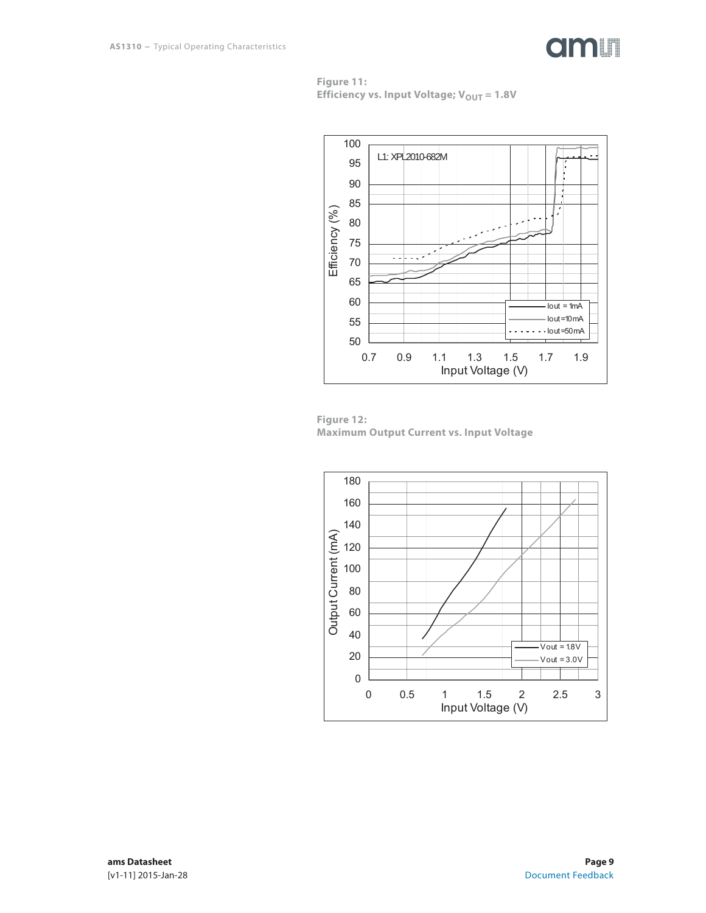

**Figure 11: Efficiency vs. Input Voltage; V<sub>OUT</sub> = 1.8V** 





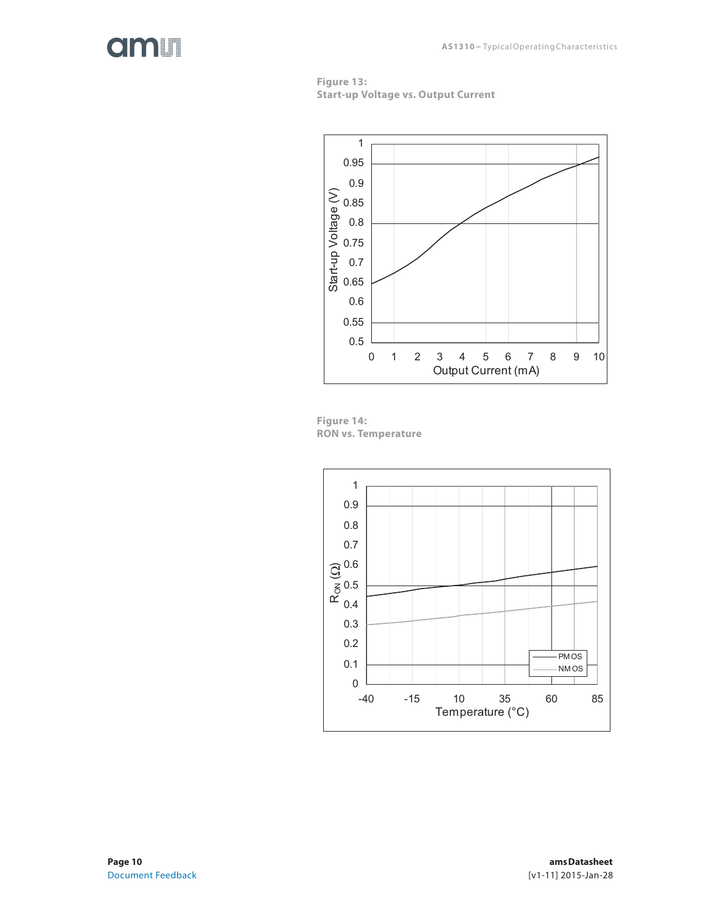







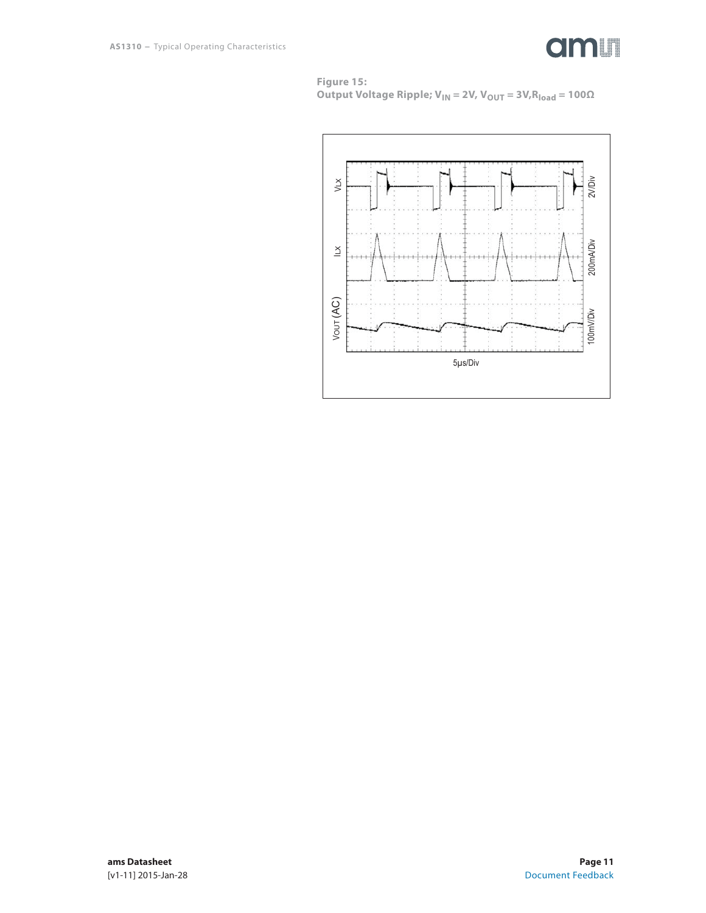

**Figure 15: Output Voltage Ripple; V<sub>IN</sub> = 2V, V<sub>OUT</sub> = 3V,R<sub>load</sub> = 100Ω** 

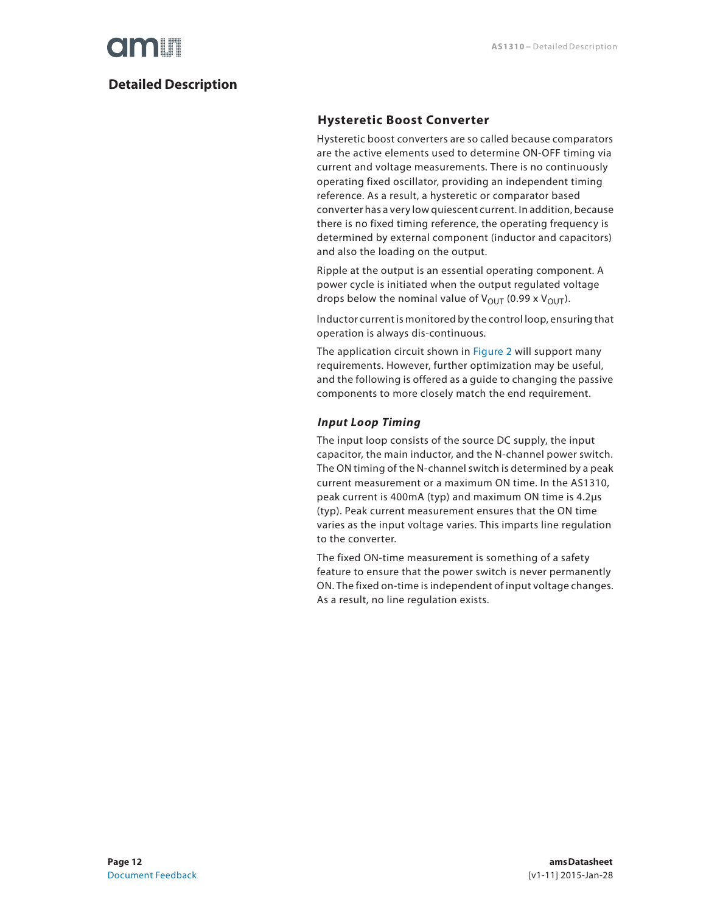### **Detailed Description**

### **Hysteretic Boost Converter**

Hysteretic boost converters are so called because comparators are the active elements used to determine ON-OFF timing via current and voltage measurements. There is no continuously operating fixed oscillator, providing an independent timing reference. As a result, a hysteretic or comparator based converter has a very low quiescent current. In addition, because there is no fixed timing reference, the operating frequency is determined by external component (inductor and capacitors) and also the loading on the output.

Ripple at the output is an essential operating component. A power cycle is initiated when the output regulated voltage drops below the nominal value of  $V_{\text{OUT}}$  (0.99 x  $V_{\text{OUT}}$ ).

Inductor current is monitored by the control loop, ensuring that operation is always dis-continuous.

The application circuit shown in Figure 2 will support many requirements. However, further optimization may be useful, and the following is offered as a guide to changing the passive components to more closely match the end requirement.

### *Input Loop Timing*

The input loop consists of the source DC supply, the input capacitor, the main inductor, and the N-channel power switch. The ON timing of the N-channel switch is determined by a peak current measurement or a maximum ON time. In the AS1310, peak current is 400mA (typ) and maximum ON time is 4.2μs (typ). Peak current measurement ensures that the ON time varies as the input voltage varies. This imparts line regulation to the converter.

The fixed ON-time measurement is something of a safety feature to ensure that the power switch is never permanently ON. The fixed on-time is independent of input voltage changes. As a result, no line regulation exists.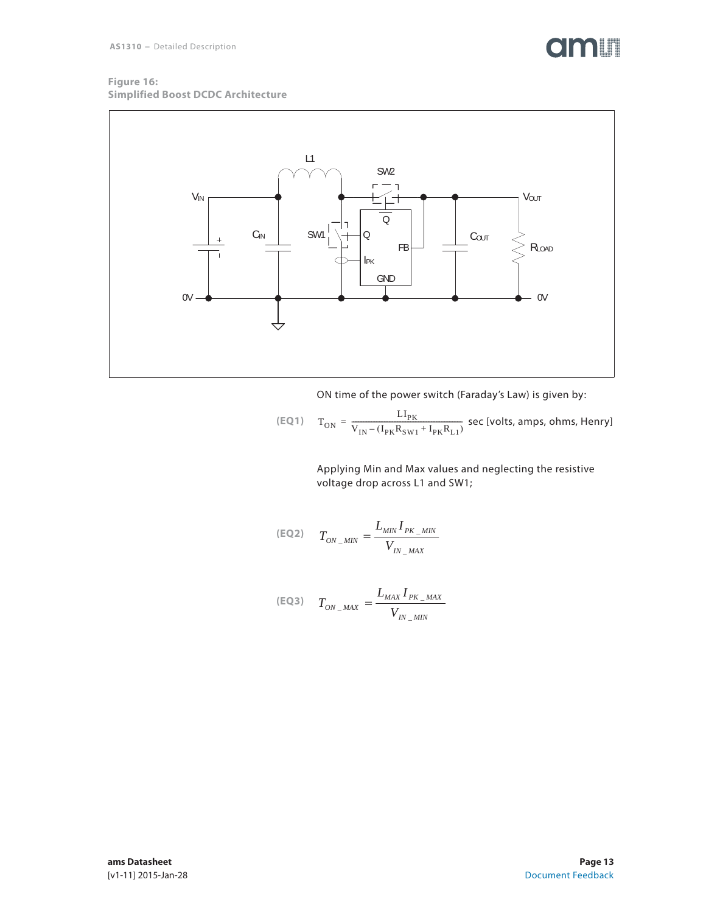## **OMIT**

#### **Figure 16: Simplified Boost DCDC Architecture**



ON time of the power switch (Faraday's Law) is given by:

$$
\text{(EQ1)} \quad \text{T}_{\text{ON}} = \frac{\text{LI}_{\text{PK}}}{\text{V}_{\text{IN}} - (\text{I}_{\text{PK}}\text{R}_{\text{SW1}} + \text{I}_{\text{PK}}\text{R}_{\text{L1}})} \text{ sec [volts, amps, ohms, Henry]}
$$

Applying Min and Max values and neglecting the resistive voltage drop across L1 and SW1;

$$
(\text{EQ2}) \qquad T_{ON\_MIN} = \frac{L_{MIN} I_{PK\_MIN}}{V_{IN\_MAX}}
$$

$$
(\text{EQ3}) \quad T_{ON\_MAX} = \frac{L_{MAX} I_{PK\_MAX}}{V_{IN\_MIN}}
$$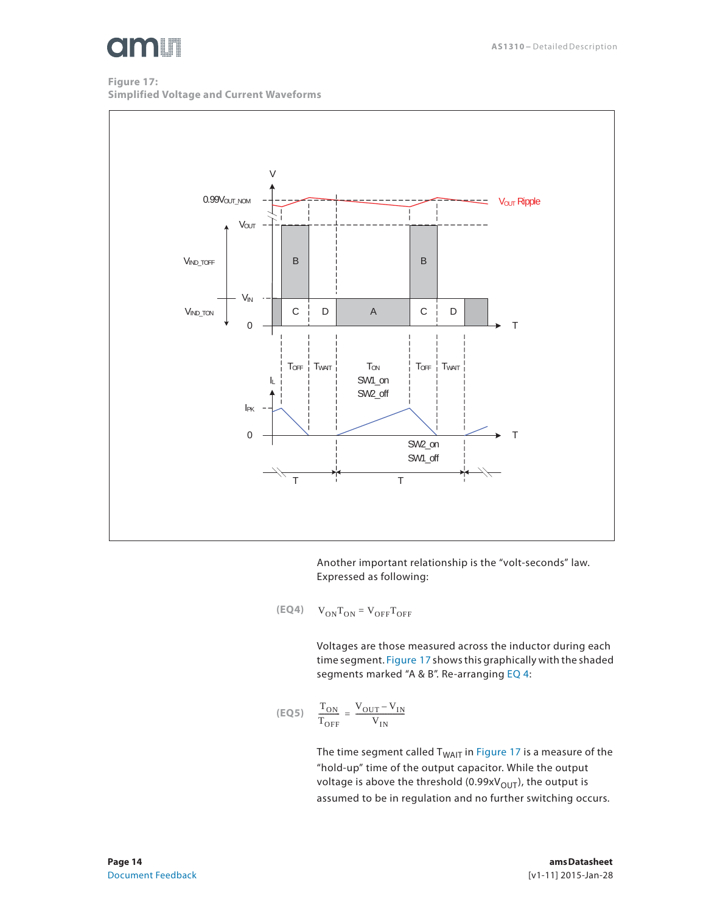

**Figure 17: Simplified Voltage and Current Waveforms** 



Another important relationship is the "volt-seconds" law. Expressed as following:

$$
(\mathsf{EQ4}) \qquad \mathsf{V}_{\mathsf{ON}}\mathsf{T}_{\mathsf{ON}} = \mathsf{V}_{\mathsf{OFF}}\mathsf{T}_{\mathsf{OFF}}
$$

Voltages are those measured across the inductor during each time segment. Figure 17 shows this graphically with the shaded segments marked "A & B". Re-arranging EQ 4:

$$
\text{(EQ5)} \quad \frac{\text{T}_{\text{ON}}}{\text{T}_{\text{OFF}}} = \frac{\text{V}_{\text{OUT}} - \text{V}_{\text{IN}}}{\text{V}_{\text{IN}}}
$$

The time segment called  $T_{WA|T}$  in Figure 17 is a measure of the "hold-up" time of the output capacitor. While the output voltage is above the threshold (0.99x $V_{\text{OUT}}$ ), the output is assumed to be in regulation and no further switching occurs.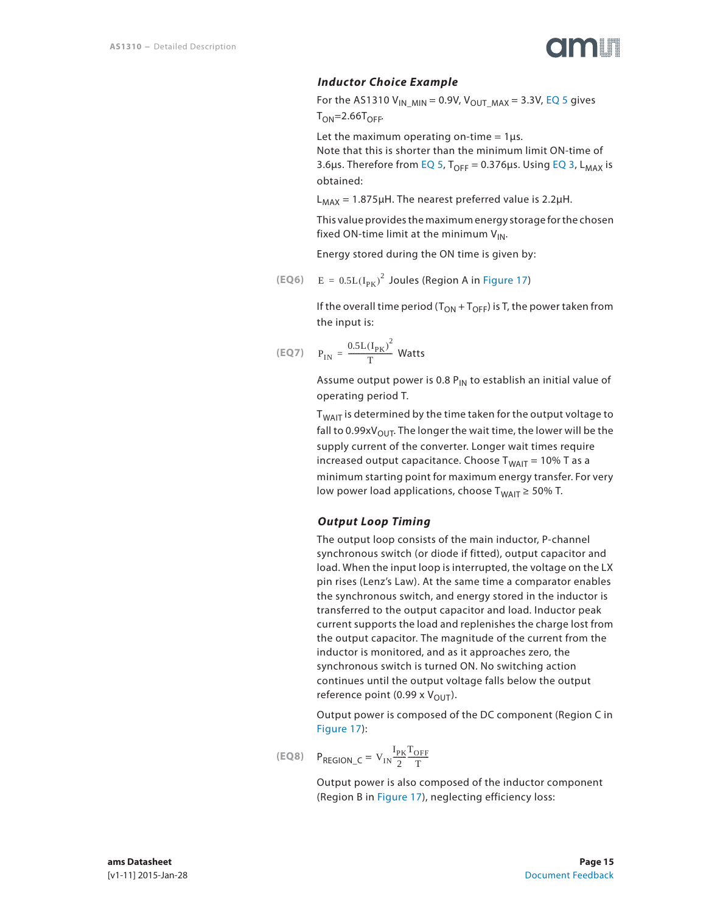

### *Inductor Choice Example*

For the AS1310  $V_{IN\_MIN} = 0.9V$ ,  $V_{OUT\_MAX} = 3.3V$ , EQ 5 gives  $T_{ON} = 2.66T_{OFF}$ 

Let the maximum operating on-time =  $1\mu s$ .

Note that this is shorter than the minimum limit ON-time of 3.6μs. Therefore from EQ 5,  $T_{OFF} = 0.376$ μs. Using EQ 3, L<sub>MAX</sub> is obtained:

 $L_{MAX}$  = 1.875µH. The nearest preferred value is 2.2µH.

This value provides the maximum energy storage for the chosen fixed ON-time limit at the minimum  $V_{IN}$ .

Energy stored during the ON time is given by:

(EQ6) 
$$
E = 0.5L(I_{PK})^2
$$
 Joules (Region A in Figure 17)

If the overall time period ( $T_{ON}$  +  $T_{OFF}$ ) is T, the power taken from the input is:

$$
(\text{EQ7}) \quad P_{\text{IN}} = \frac{0.5 \text{L}(\text{I}_{\text{PK}})^2}{T} \text{ Watts}
$$

Assume output power is 0.8  $P_{IN}$  to establish an initial value of operating period T.

 $T<sub>WAIT</sub>$  is determined by the time taken for the output voltage to fall to 0.99xV<sub>OUT</sub>. The longer the wait time, the lower will be the supply current of the converter. Longer wait times require increased output capacitance. Choose  $T_{WAIT} = 10\%$  T as a minimum starting point for maximum energy transfer. For very low power load applications, choose  $T_{WAIT} \ge 50\%$  T.

#### *Output Loop Timing*

The output loop consists of the main inductor, P-channel synchronous switch (or diode if fitted), output capacitor and load. When the input loop is interrupted, the voltage on the LX pin rises (Lenz's Law). At the same time a comparator enables the synchronous switch, and energy stored in the inductor is transferred to the output capacitor and load. Inductor peak current supports the load and replenishes the charge lost from the output capacitor. The magnitude of the current from the inductor is monitored, and as it approaches zero, the synchronous switch is turned ON. No switching action continues until the output voltage falls below the output reference point (0.99 x  $V_{\text{OUT}}$ ).

Output power is composed of the DC component (Region C in Figure 17):

$$
(\text{EQ8}) \quad P_{\text{REGION\_C}} = V_{\text{IN}} \frac{I_{\text{PK}} T_{\text{OFF}}}{2 T}
$$

Output power is also composed of the inductor component (Region B in Figure 17), neglecting efficiency loss: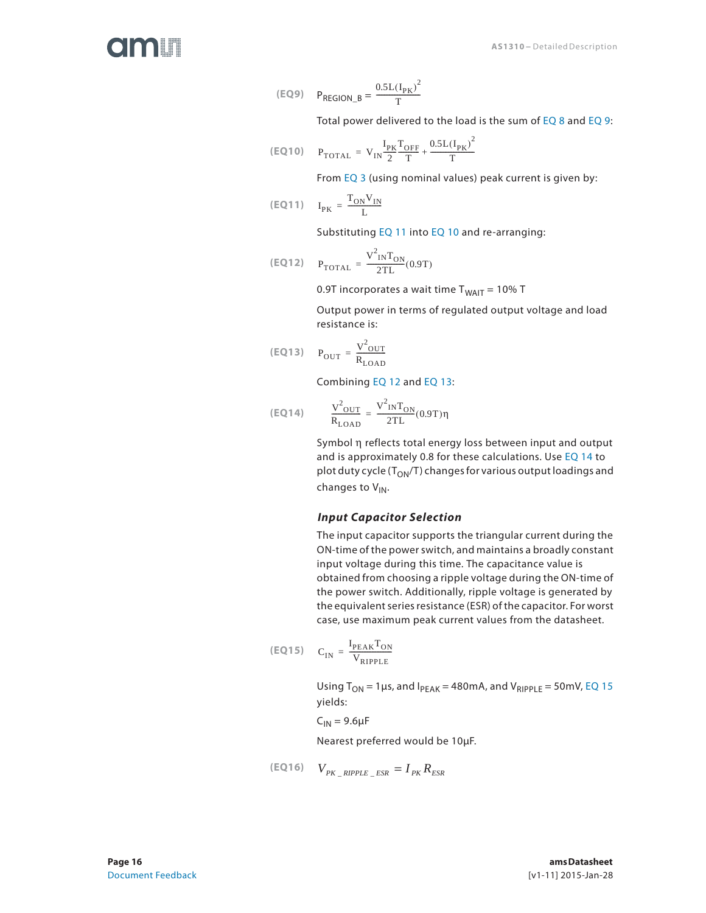(EQ9) 
$$
P_{REGION_B} = \frac{0.5L(I_{PK})^2}{T}
$$

Total power delivered to the load is the sum of EQ 8 and EQ 9:

$$
\text{(EQ10)} \quad \ \ P_{\textrm{TOTAL}} \, = \, V_{\textrm{IN}} \frac{I_{\textrm{PK}}}{2} \frac{T_{\textrm{OFF}}}{T} + \frac{0.5 L{(I_{\textrm{PK}})}^2}{T}
$$

From EQ 3 (using nominal values) peak current is given by:

$$
\text{(EQ11)} \quad \ I_{PK} \, = \, \frac{T_{ON} V_{IN}}{L}
$$

Substituting EQ 11 into EQ 10 and re-arranging:

$$
\text{(EQ12)} \quad \mathbf{P}_{\text{TOTAL}} = \frac{\mathbf{V}_{\text{IN}}^2 \mathbf{T}_{\text{ON}}}{2 \text{TL}} (0.9 \text{T})
$$

0.9T incorporates a wait time  $T_{WAIT} = 10\% T$ 

Output power in terms of regulated output voltage and load resistance is:

$$
\text{(EQ13)} \quad \mathbf{P}_{\text{OUT}} = \frac{\mathbf{V}^2_{\text{OUT}}}{\mathbf{R}_{\text{LOAD}}}
$$

Combining EQ 12 and EQ 13:

$$
\text{(EQ14)} \qquad \frac{V^2_{\text{OUT}}}{R_{\text{LOAD}}} = \frac{V^2_{\text{IN}}T_{\text{ON}}}{2TL}(0.9T)\eta
$$

Symbol η reflects total energy loss between input and output and is approximately 0.8 for these calculations. Use EQ 14 to plot duty cycle ( $T_{ON}/T$ ) changes for various output loadings and changes to V<sub>IN</sub>.

#### *Input Capacitor Selection*

The input capacitor supports the triangular current during the ON-time of the power switch, and maintains a broadly constant input voltage during this time. The capacitance value is obtained from choosing a ripple voltage during the ON-time of the power switch. Additionally, ripple voltage is generated by the equivalent series resistance (ESR) of the capacitor. For worst case, use maximum peak current values from the datasheet.

$$
(\text{EQ15}) \quad C_{IN} = \frac{I_{\text{PEAK}} T_{ON}}{V_{\text{RIPPLE}}}
$$

Using  $T_{ON}$  = 1 µs, and  $I_{PEAK}$  = 480mA, and  $V_{RIPPLE}$  = 50mV, EQ 15 yields:

 $C_{IN}$  = 9.6 $\mu$ F

Nearest preferred would be 10μF.

$$
(EQ16) \tV_{PK\_RIPPLE\_ESR} = I_{PK} R_{ESR}
$$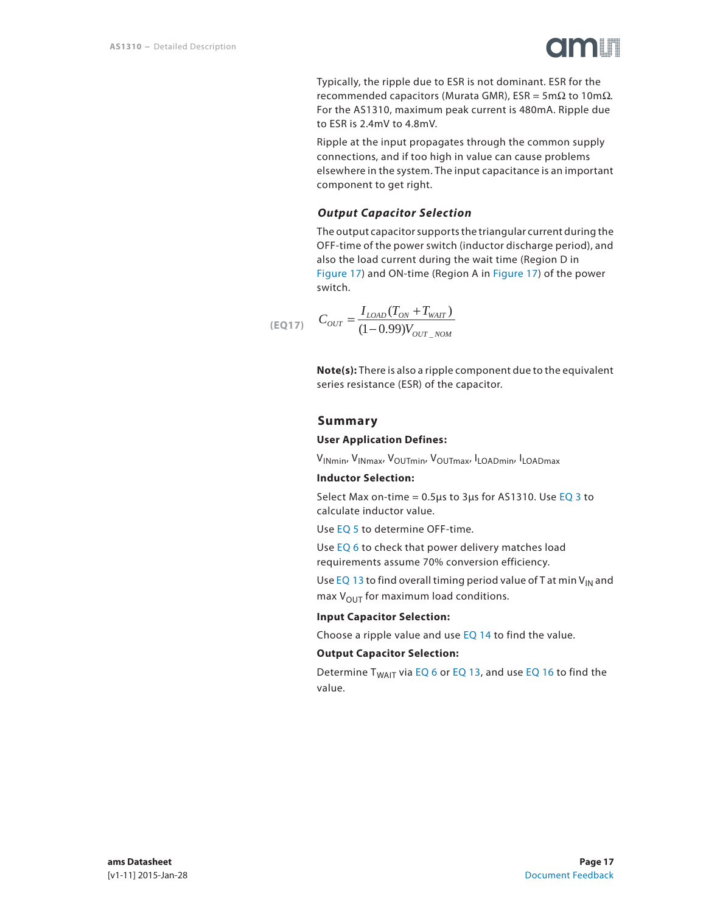

Typically, the ripple due to ESR is not dominant. ESR for the recommended capacitors (Murata GMR), ESR = 5m $Ω$  to 10m $Ω$ . For the AS1310, maximum peak current is 480mA. Ripple due to ESR is 2.4mV to 4.8mV.

Ripple at the input propagates through the common supply connections, and if too high in value can cause problems elsewhere in the system. The input capacitance is an important component to get right.

#### *Output Capacitor Selection*

The output capacitor supports the triangular current during the OFF-time of the power switch (inductor discharge period), and also the load current during the wait time (Region D in Figure 17) and ON-time (Region A in Figure 17) of the power switch.

$$
(EQ17) \quad C_{OUT} = \frac{I_{LOAD}(T_{ON} + T_{WAIT})}{(1 - 0.99)V_{OUT\_NOM}}
$$

**Note(s):** There is also a ripple component due to the equivalent series resistance (ESR) of the capacitor.

#### **Summary**

#### **User Application Defines:**

VINmin, VINmax, VOUTmin, VOUTmax, ILOADmin, ILOADmax

#### **Inductor Selection:**

Select Max on-time =  $0.5\mu s$  to 3 $\mu s$  for AS1310. Use EQ 3 to calculate inductor value.

Use EQ 5 to determine OFF-time.

Use EQ 6 to check that power delivery matches load requirements assume 70% conversion efficiency.

Use EQ 13 to find overall timing period value of T at min  $V_{IN}$  and max  $V_{\text{OUT}}$  for maximum load conditions.

#### **Input Capacitor Selection:**

Choose a ripple value and use EQ 14 to find the value.

#### **Output Capacitor Selection:**

Determine  $T_{WAIT}$  via EQ 6 or EQ 13, and use EQ 16 to find the value.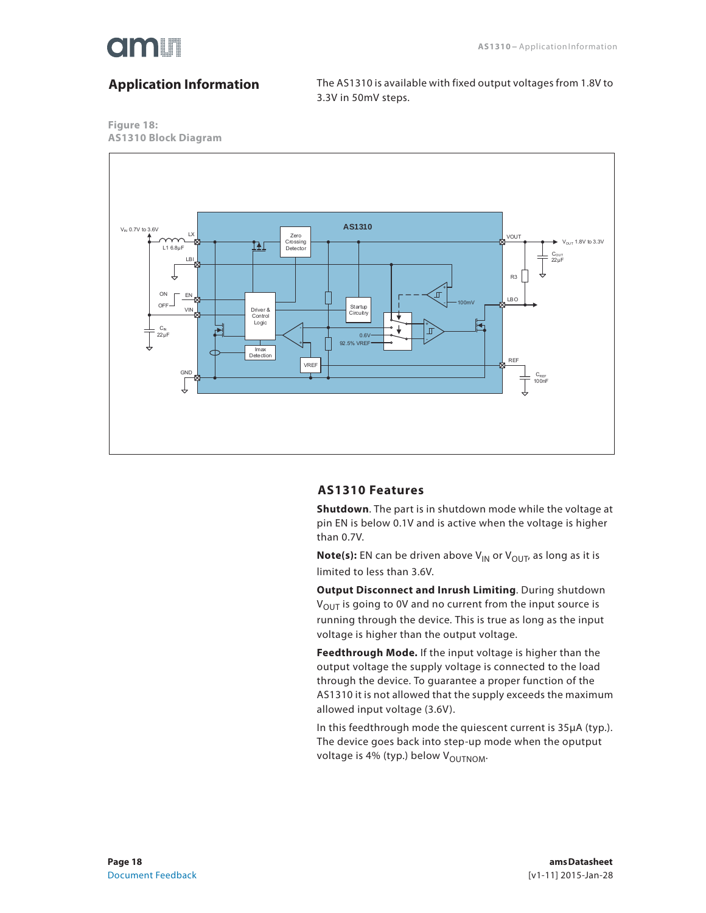

## **Application Information**

The AS1310 is available with fixed output voltages from 1.8V to 3.3V in 50mV steps.





#### **AS1310 Features**

**Shutdown**. The part is in shutdown mode while the voltage at pin EN is below 0.1V and is active when the voltage is higher than 0.7V.

**Note(s):** EN can be driven above V<sub>IN</sub> or V<sub>OUT</sub>, as long as it is limited to less than 3.6V.

**Output Disconnect and Inrush Limiting**. During shutdown  $V_{\text{OUT}}$  is going to 0V and no current from the input source is running through the device. This is true as long as the input voltage is higher than the output voltage.

**Feedthrough Mode.** If the input voltage is higher than the output voltage the supply voltage is connected to the load through the device. To guarantee a proper function of the AS1310 it is not allowed that the supply exceeds the maximum allowed input voltage (3.6V).

In this feedthrough mode the quiescent current is 35μA (typ.). The device goes back into step-up mode when the oputput voltage is 4% (typ.) below V<sub>OUTNOM</sub>.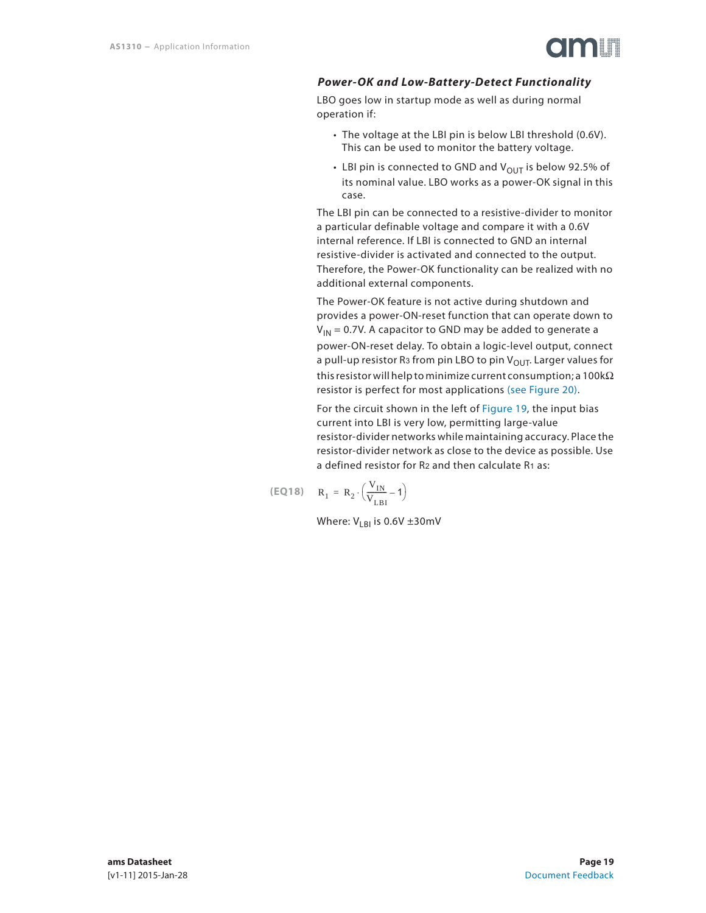

### *Power-OK and Low-Battery-Detect Functionality*

LBO goes low in startup mode as well as during normal operation if:

- The voltage at the LBI pin is below LBI threshold (0.6V). This can be used to monitor the battery voltage.
- LBI pin is connected to GND and  $V_{\text{OUT}}$  is below 92.5% of its nominal value. LBO works as a power-OK signal in this case.

The LBI pin can be connected to a resistive-divider to monitor a particular definable voltage and compare it with a 0.6V internal reference. If LBI is connected to GND an internal resistive-divider is activated and connected to the output. Therefore, the Power-OK functionality can be realized with no additional external components.

The Power-OK feature is not active during shutdown and provides a power-ON-reset function that can operate down to  $V_{1N}$  = 0.7V. A capacitor to GND may be added to generate a power-ON-reset delay. To obtain a logic-level output, connect a pull-up resistor R<sub>3</sub> from pin LBO to pin  $V_{\text{OUT}}$ . Larger values for this resistor will help to minimize current consumption; a 100kΩ resistor is perfect for most applications (see Figure 20).

For the circuit shown in the left of Figure 19, the input bias current into LBI is very low, permitting large-value resistor-divider networks while maintaining accuracy. Place the resistor-divider network as close to the device as possible. Use a defined resistor for R2 and then calculate R1 as:

$$
\text{(EQ18)} \quad \ \ R_1 \, = \, R_2 \cdot \left( \frac{V_{IN}}{V_{LBI}} - 1 \right)
$$

Where:  $V_{\text{LBI}}$  is 0.6V ±30mV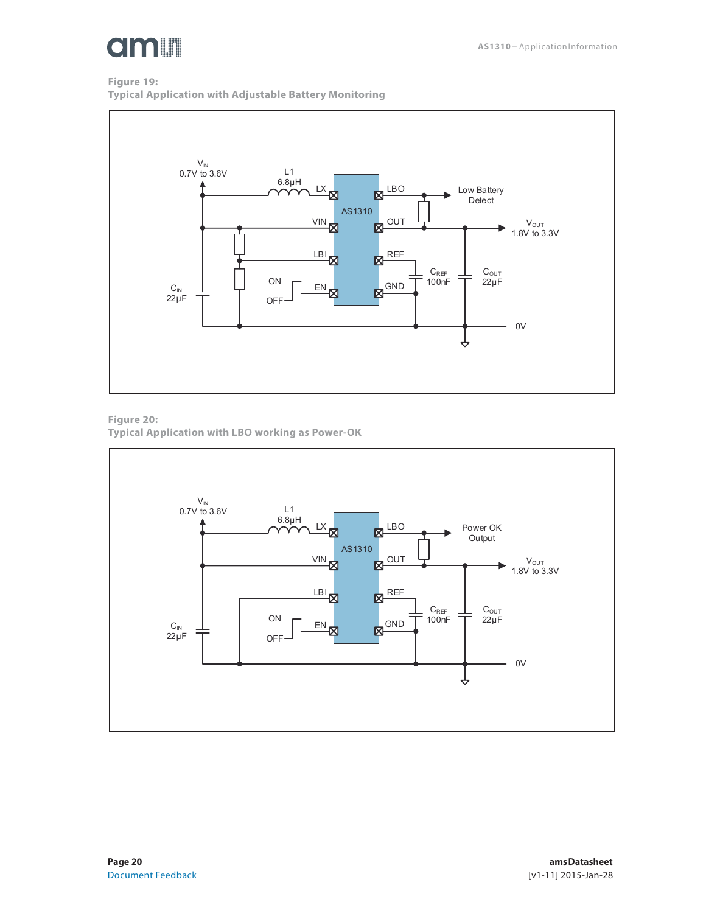

### **Figure 19: Typical Application with Adjustable Battery Monitoring**



**Figure 20: Typical Application with LBO working as Power-OK** 

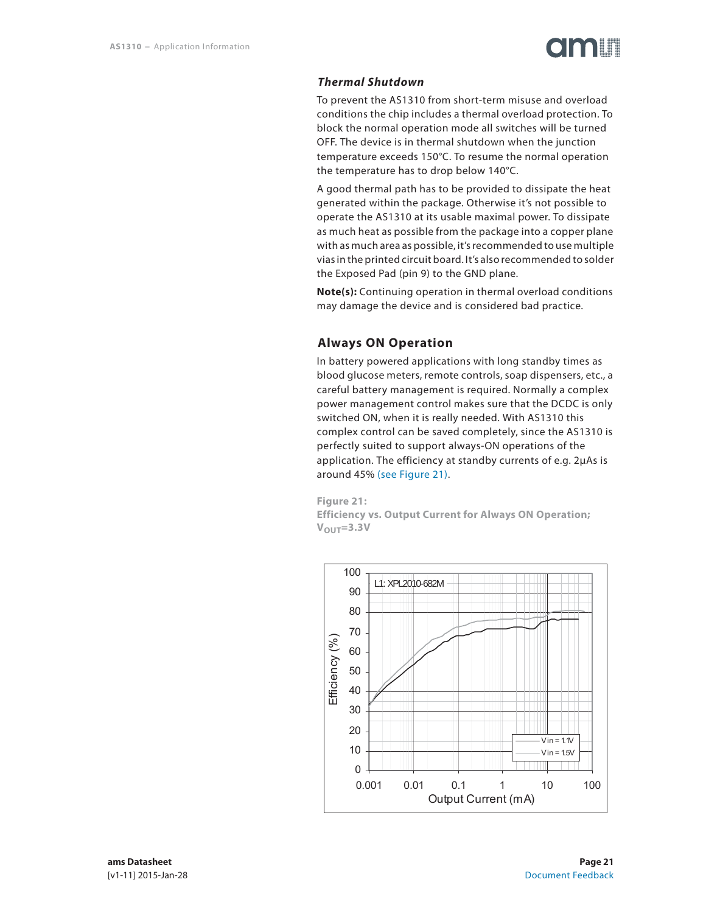### *Thermal Shutdown*

To prevent the AS1310 from short-term misuse and overload conditions the chip includes a thermal overload protection. To block the normal operation mode all switches will be turned OFF. The device is in thermal shutdown when the junction temperature exceeds 150°C. To resume the normal operation the temperature has to drop below 140°C.

A good thermal path has to be provided to dissipate the heat generated within the package. Otherwise it's not possible to operate the AS1310 at its usable maximal power. To dissipate as much heat as possible from the package into a copper plane with as much area as possible, it's recommended to use multiple vias in the printed circuit board. It's also recommended to solder the Exposed Pad (pin 9) to the GND plane.

**Note(s):** Continuing operation in thermal overload conditions may damage the device and is considered bad practice.

### **Always ON Operation**

In battery powered applications with long standby times as blood glucose meters, remote controls, soap dispensers, etc., a careful battery management is required. Normally a complex power management control makes sure that the DCDC is only switched ON, when it is really needed. With AS1310 this complex control can be saved completely, since the AS1310 is perfectly suited to support always-ON operations of the application. The efficiency at standby currents of e.g. 2μAs is around 45% (see Figure 21).

**Figure 21: Efficiency vs. Output Current for Always ON Operation;**   $V_{\text{OUT}}=3.3V$ 

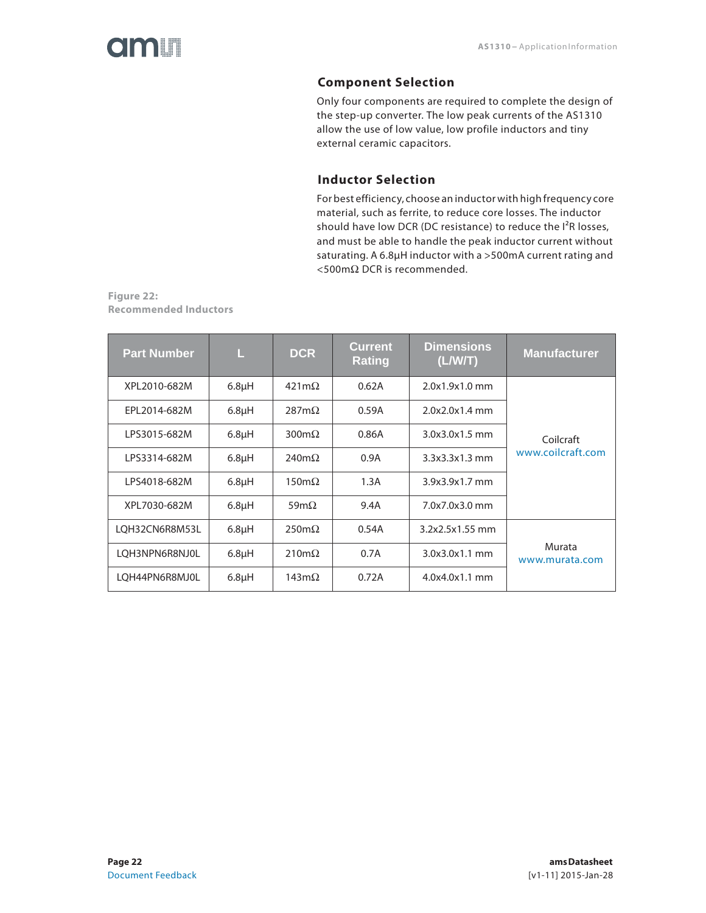### **Component Selection**

Only four components are required to complete the design of the step-up converter. The low peak currents of the AS1310 allow the use of low value, low profile inductors and tiny external ceramic capacitors.

### **Inductor Selection**

For best efficiency, choose an inductor with high frequency core material, such as ferrite, to reduce core losses. The inductor should have low DCR (DC resistance) to reduce the I<sup>2</sup>R losses, and must be able to handle the peak inductor current without saturating. A 6.8μH inductor with a >500mA current rating and <500mΩ DCR is recommended.

**Figure 22: Recommended Inductors** 

| <b>Part Number</b>                 | Ш          | DCR.                 | Current<br><b>Rating</b> | <b>Dimensions</b><br>(L/WT) | <b>Manufacturer</b>      |
|------------------------------------|------------|----------------------|--------------------------|-----------------------------|--------------------------|
| XPL2010-682M                       | $6.8\mu$ H | $421m\Omega$         | 0.62A                    | 2.0x1.9x1.0 mm              |                          |
| EPL2014-682M                       | $6.8\mu$ H | $287m\Omega$         | 0.59A                    | $2.0x2.0x1.4$ mm            |                          |
| LPS3015-682M                       | $6.8\mu$ H | $300 \text{m}\Omega$ | 0.86A                    | $3.0x3.0x1.5$ mm            | Coilcraft                |
| LPS3314-682M<br>6.8 <sub>µ</sub> H |            | 240m $\Omega$        | 0.9A                     | 3.3x3.3x1.3mm               | www.coilcraft.com        |
| LPS4018-682M                       | $6.8\mu$ H | $150 \text{m}\Omega$ | 1.3A                     | 3.9x3.9x1.7 mm              |                          |
| XPL7030-682M                       | $6.8\mu$ H | 59m $\Omega$         | 9.4A                     | 7.0x7.0x3.0 mm              |                          |
| LOH32CN6R8M53L                     | $6.8\mu H$ | $250 \text{m}\Omega$ | 0.54A                    | 3.2x2.5x1.55 mm             |                          |
| LQH3NPN6R8NJ0L                     | $6.8\mu$ H | $210 \text{m}\Omega$ | 0.7A                     | $3.0x3.0x1.1$ mm            | Murata<br>www.murata.com |
| LOH44PN6R8MJ0L                     | $6.8\mu$ H | 143m $\Omega$        | 0.72A                    | 4.0x4.0x1.1 mm              |                          |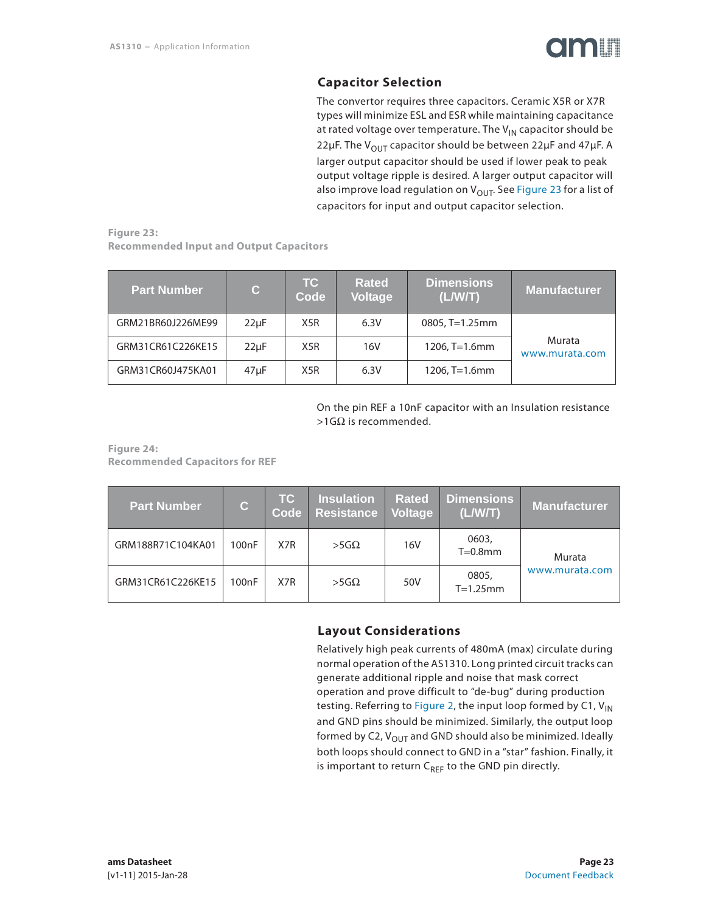

### **Capacitor Selection**

The convertor requires three capacitors. Ceramic X5R or X7R types will minimize ESL and ESR while maintaining capacitance at rated voltage over temperature. The  $V_{1N}$  capacitor should be 22μF. The V<sub>OUT</sub> capacitor should be between 22μF and 47μF. A larger output capacitor should be used if lower peak to peak output voltage ripple is desired. A larger output capacitor will also improve load regulation on  $V_{\text{OUT}}$ . See Figure 23 for a list of capacitors for input and output capacitor selection.

**Figure 23: Recommended Input and Output Capacitors**

| <b>Part Number</b> | $\mathbf{C}$ | <b>TC</b><br>Code | <b>Rated</b><br>Voltage | <b>Dimensions</b><br>(L/W/T) | <b>Manufacturer</b>      |
|--------------------|--------------|-------------------|-------------------------|------------------------------|--------------------------|
| GRM21BR60J226ME99  | $22\mu F$    | X5R               | 6.3V                    | $0805$ , T=1.25mm            |                          |
| GRM31CR61C226KE15  | $22\mu F$    | X <sub>5</sub> R  | 16V                     | $1206, T=1.6$ mm             | Murata<br>www.murata.com |
| GRM31CR60J475KA01  | $47\mu F$    | X5R               | 6.3V                    | 1206, T=1.6mm                |                          |

On the pin REF a 10nF capacitor with an Insulation resistance  $>1$ GΩ is recommended.

**Figure 24: Recommended Capacitors for REF**

| <b>Part Number</b> | $\mathbf{C}$       | <b>TC</b><br>Code | <b>Insulation</b><br>Resistance | <b>Rated</b><br>Voltage | <b>Dimensions</b><br>(L/W/T) | <b>Manufacturer</b> |
|--------------------|--------------------|-------------------|---------------------------------|-------------------------|------------------------------|---------------------|
| GRM188R71C104KA01  | 100 <sub>n</sub> F | X7R               | $>5G\Omega$                     | 16V                     | 0603,<br>$T=0.8$ mm          | Murata              |
| GRM31CR61C226KE15  | 100nF              | X7R               | $>5G\Omega$                     | 50V                     | 0805,<br>$T=1.25$ mm         | www.murata.com      |

### **Layout Considerations**

Relatively high peak currents of 480mA (max) circulate during normal operation of the AS1310. Long printed circuit tracks can generate additional ripple and noise that mask correct operation and prove difficult to "de-bug" during production testing. Referring to Figure 2, the input loop formed by C1,  $V_{IN}$ and GND pins should be minimized. Similarly, the output loop formed by C2,  $V_{\text{OUT}}$  and GND should also be minimized. Ideally both loops should connect to GND in a "star" fashion. Finally, it is important to return  $C_{REF}$  to the GND pin directly.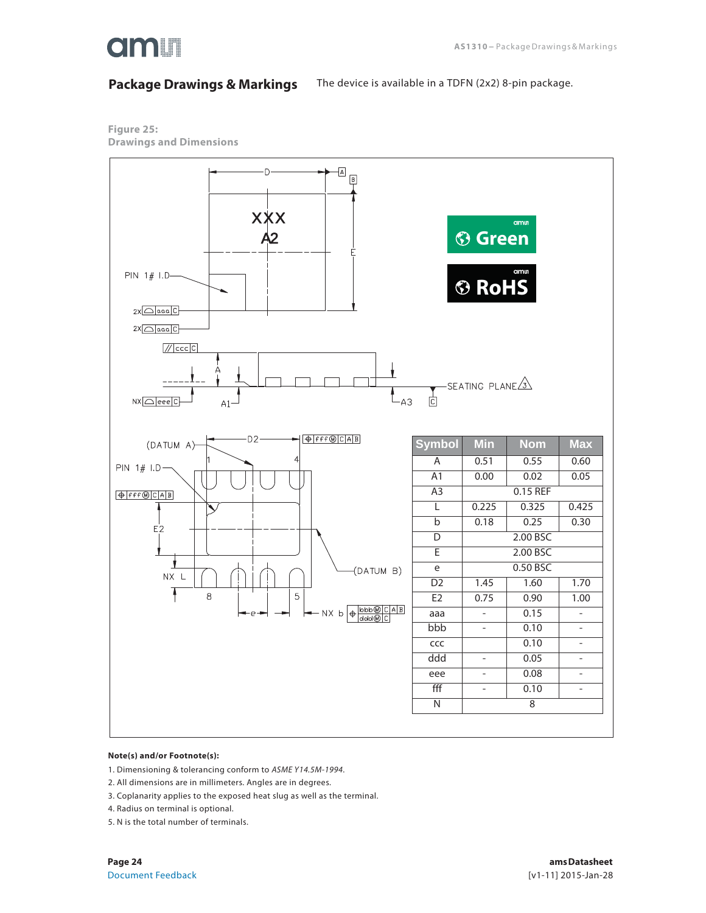

### **Package Drawings & Markings**

The device is available in a TDFN (2x2) 8-pin package.

**Figure 25: Drawings and Dimensions**



#### **Note(s) and/or Footnote(s):**

1. Dimensioning & tolerancing conform to ASME Y14.5M-1994.

2. All dimensions are in millimeters. Angles are in degrees.

3. Coplanarity applies to the exposed heat slug as well as the terminal.

4. Radius on terminal is optional.

5. N is the total number of terminals.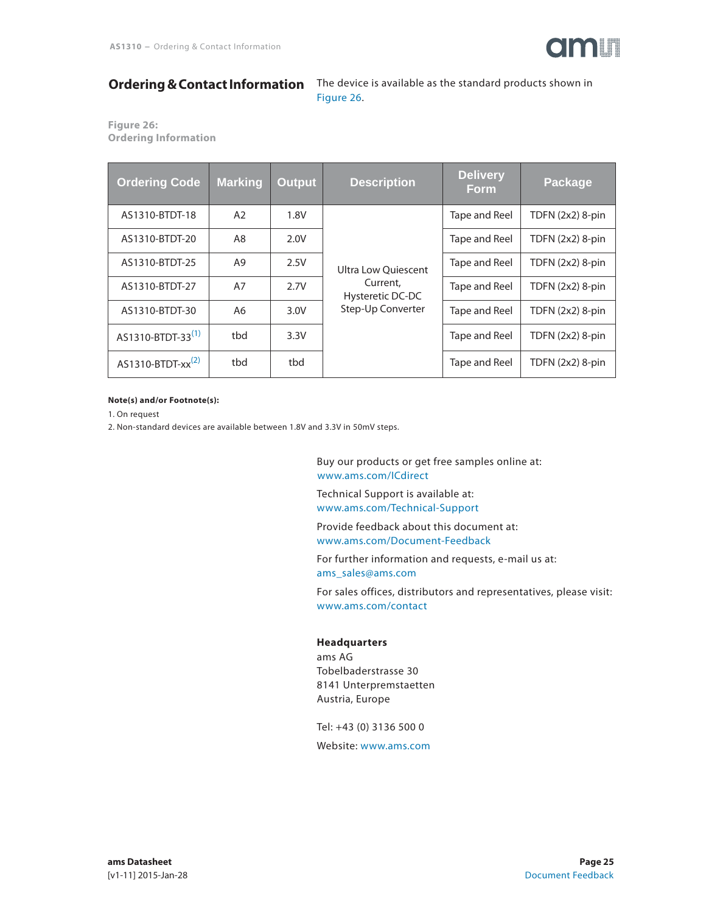

### **Ordering & Contact Information**

The device is available as the standard products shown in Figure 26.

**Figure 26: Ordering Information**

| <b>Ordering Code</b>          | <b>Marking</b> | <b>Output</b> | <b>Description</b>                                                       | <b>Delivery</b><br><b>Form</b> | Package            |
|-------------------------------|----------------|---------------|--------------------------------------------------------------------------|--------------------------------|--------------------|
| AS1310-BTDT-18                | A2             | 1.8V          |                                                                          | Tape and Reel                  | TDFN $(2x2)$ 8-pin |
| AS1310-BTDT-20                | A8             | 2.0V          | Ultra Low Ouiescent<br>Current,<br>Hysteretic DC-DC<br>Step-Up Converter | Tape and Reel                  | TDFN $(2x2)$ 8-pin |
| AS1310-BTDT-25                | A9             | 2.5V          |                                                                          | Tape and Reel                  | TDFN $(2x2)$ 8-pin |
| AS1310-BTDT-27                | A7             | 2.7V          |                                                                          | Tape and Reel                  | TDFN $(2x2)$ 8-pin |
| AS1310-BTDT-30                | A6             | 3.0V          |                                                                          | Tape and Reel                  | TDFN $(2x2)$ 8-pin |
| AS1310-BTDT-33 <sup>(1)</sup> | tbd            | 3.3V          |                                                                          | Tape and Reel                  | TDFN $(2x2)$ 8-pin |
| AS1310-BTDT-xx <sup>(2)</sup> | tbd            | tbd           |                                                                          | Tape and Reel                  | TDFN $(2x2)$ 8-pin |

#### **Note(s) and/or Footnote(s):**

1. On request

2. Non-standard devices are available between 1.8V and 3.3V in 50mV steps.

Buy our products or get free samples online at: www.ams.com/ICdirect

Technical Support is available at: www.ams.com/Technical-Support

Provide feedback about this document at: www.ams.com/Document-Feedback

For further information and requests, e-mail us at: ams\_sales@ams.com

For sales offices, distributors and representatives, please visit: www.ams.com/contact

#### **Headquarters**

ams AG Tobelbaderstrasse 30 8141 Unterpremstaetten Austria, Europe

Tel: +43 (0) 3136 500 0

Website: www.ams.com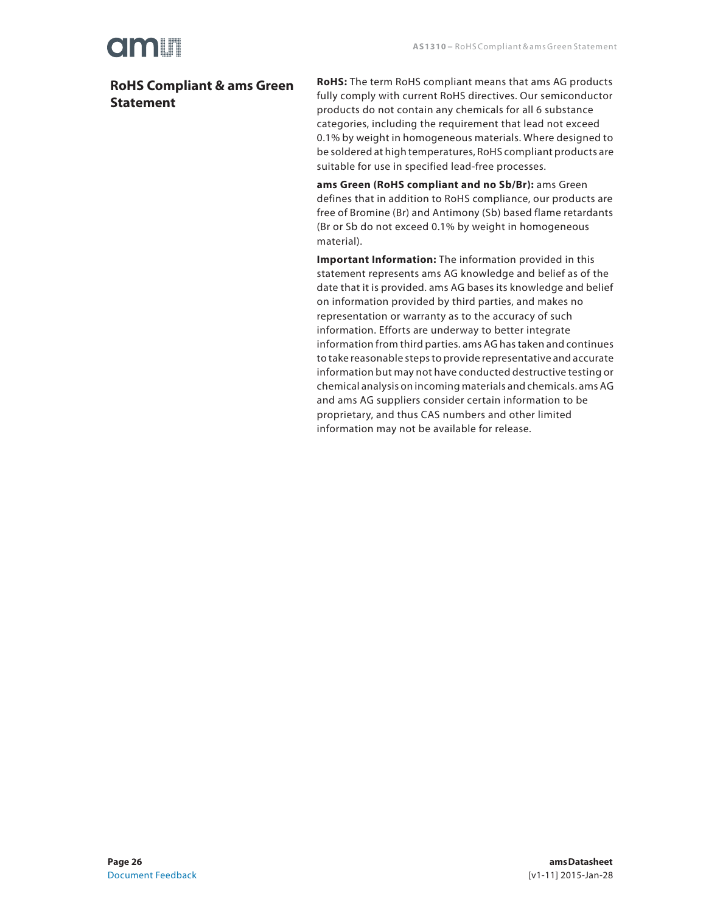### **RoHS Compliant & ams Green Statement**

**RoHS:** The term RoHS compliant means that ams AG products fully comply with current RoHS directives. Our semiconductor products do not contain any chemicals for all 6 substance categories, including the requirement that lead not exceed 0.1% by weight in homogeneous materials. Where designed to be soldered at high temperatures, RoHS compliant products are suitable for use in specified lead-free processes.

**ams Green (RoHS compliant and no Sb/Br):** ams Green defines that in addition to RoHS compliance, our products are free of Bromine (Br) and Antimony (Sb) based flame retardants (Br or Sb do not exceed 0.1% by weight in homogeneous material).

**Important Information:** The information provided in this statement represents ams AG knowledge and belief as of the date that it is provided. ams AG bases its knowledge and belief on information provided by third parties, and makes no representation or warranty as to the accuracy of such information. Efforts are underway to better integrate information from third parties. ams AG has taken and continues to take reasonable steps to provide representative and accurate information but may not have conducted destructive testing or chemical analysis on incoming materials and chemicals. ams AG and ams AG suppliers consider certain information to be proprietary, and thus CAS numbers and other limited information may not be available for release.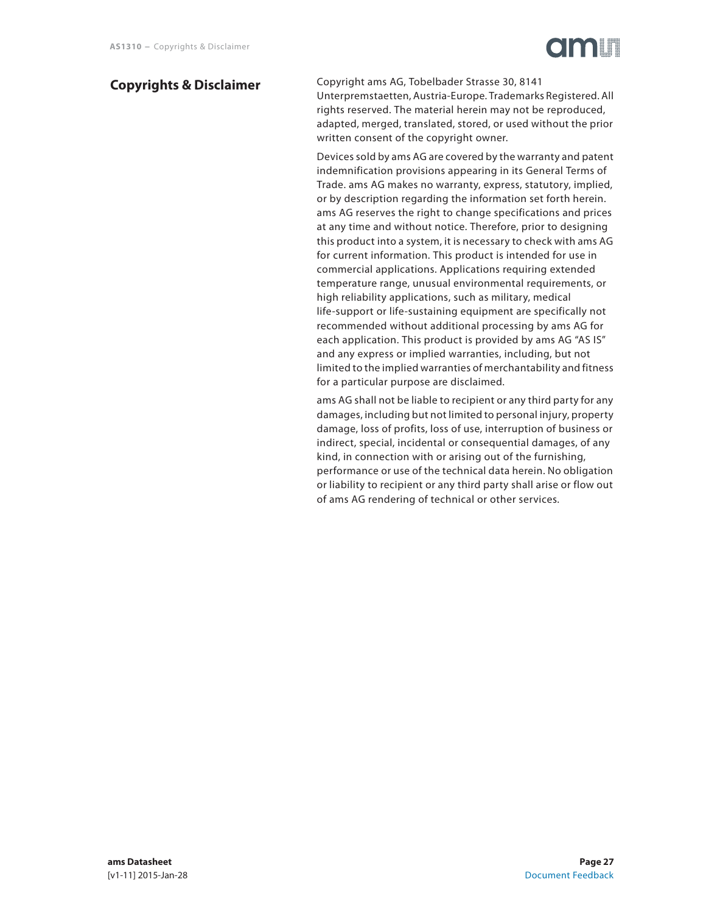## Cimiu

### **Copyrights & Disclaimer**

Copyright ams AG, Tobelbader Strasse 30, 8141 Unterpremstaetten, Austria-Europe. Trademarks Registered. All rights reserved. The material herein may not be reproduced, adapted, merged, translated, stored, or used without the prior written consent of the copyright owner.

Devices sold by ams AG are covered by the warranty and patent indemnification provisions appearing in its General Terms of Trade. ams AG makes no warranty, express, statutory, implied, or by description regarding the information set forth herein. ams AG reserves the right to change specifications and prices at any time and without notice. Therefore, prior to designing this product into a system, it is necessary to check with ams AG for current information. This product is intended for use in commercial applications. Applications requiring extended temperature range, unusual environmental requirements, or high reliability applications, such as military, medical life-support or life-sustaining equipment are specifically not recommended without additional processing by ams AG for each application. This product is provided by ams AG "AS IS" and any express or implied warranties, including, but not limited to the implied warranties of merchantability and fitness for a particular purpose are disclaimed.

ams AG shall not be liable to recipient or any third party for any damages, including but not limited to personal injury, property damage, loss of profits, loss of use, interruption of business or indirect, special, incidental or consequential damages, of any kind, in connection with or arising out of the furnishing, performance or use of the technical data herein. No obligation or liability to recipient or any third party shall arise or flow out of ams AG rendering of technical or other services.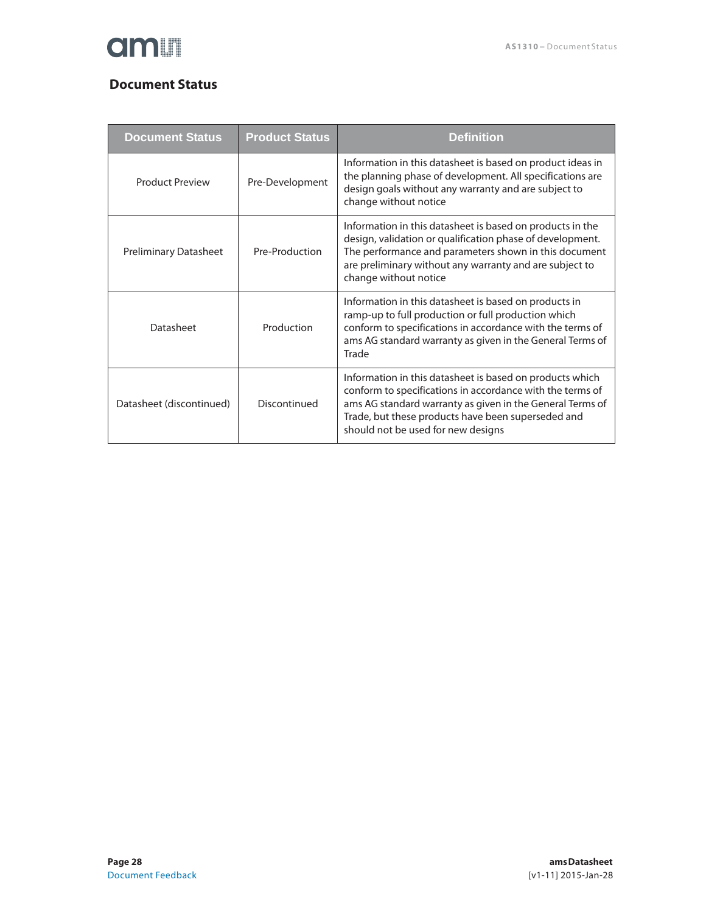

### **Document Status**

| <b>Document Status</b>       | <b>Product Status</b> | <b>Definition</b>                                                                                                                                                                                                                                                              |
|------------------------------|-----------------------|--------------------------------------------------------------------------------------------------------------------------------------------------------------------------------------------------------------------------------------------------------------------------------|
| <b>Product Preview</b>       | Pre-Development       | Information in this datasheet is based on product ideas in<br>the planning phase of development. All specifications are<br>design goals without any warranty and are subject to<br>change without notice                                                                       |
| <b>Preliminary Datasheet</b> | Pre-Production        | Information in this datasheet is based on products in the<br>design, validation or qualification phase of development.<br>The performance and parameters shown in this document<br>are preliminary without any warranty and are subject to<br>change without notice            |
| Datasheet                    | Production            | Information in this datasheet is based on products in<br>ramp-up to full production or full production which<br>conform to specifications in accordance with the terms of<br>ams AG standard warranty as given in the General Terms of<br>Trade                                |
| Datasheet (discontinued)     | Discontinued          | Information in this datasheet is based on products which<br>conform to specifications in accordance with the terms of<br>ams AG standard warranty as given in the General Terms of<br>Trade, but these products have been superseded and<br>should not be used for new designs |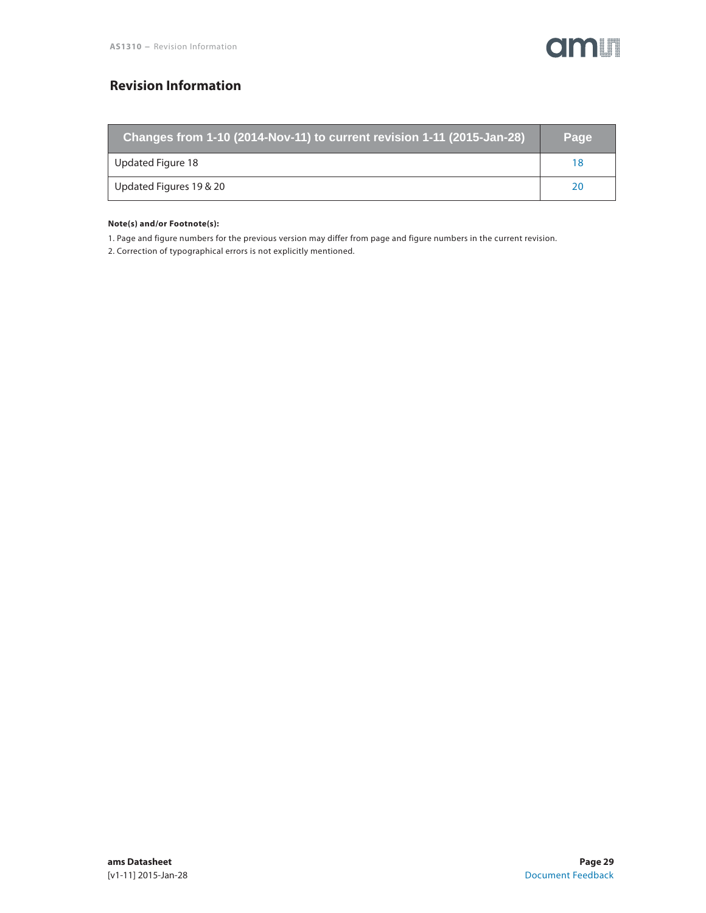

### **Revision Information**

| Changes from 1-10 (2014-Nov-11) to current revision 1-11 (2015-Jan-28) | Page |
|------------------------------------------------------------------------|------|
| Updated Figure 18                                                      |      |
| Updated Figures 19 & 20                                                |      |

#### **Note(s) and/or Footnote(s):**

1. Page and figure numbers for the previous version may differ from page and figure numbers in the current revision.

2. Correction of typographical errors is not explicitly mentioned.